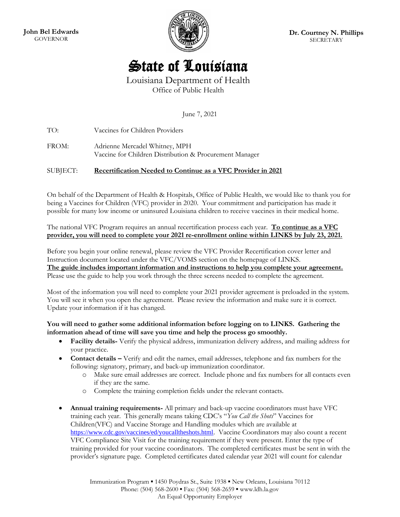**John Bel Edwards** GOVERNOR



**Dr. Courtney N. Phillips** SECRETARY

# State of Louisiana

Louisiana Department of Health Office of Public Health

June 7, 2021

TO: Vaccines for Children Providers

FROM: Adrienne Mercadel Whitney, MPH Vaccine for Children Distribution & Procurement Manager

## SUBJECT: **Recertification Needed to Continue as a VFC Provider in 2021**

On behalf of the Department of Health & Hospitals, Office of Public Health, we would like to thank you for being a Vaccines for Children (VFC) provider in 2020. Your commitment and participation has made it possible for many low income or uninsured Louisiana children to receive vaccines in their medical home.

The national VFC Program requires an annual recertification process each year. **To continue as a VFC provider, you will need to complete your 2021 re-enrollment online within LINKS by July 23, 2021.**

Before you begin your online renewal, please review the VFC Provider Recertification cover letter and Instruction document located under the VFC/VOMS section on the homepage of LINKS. **The guide includes important information and instructions to help you complete your agreement.** Please use the guide to help you work through the three screens needed to complete the agreement.

Most of the information you will need to complete your 2021 provider agreement is preloaded in the system. You will see it when you open the agreement. Please review the information and make sure it is correct. Update your information if it has changed.

#### **You will need to gather some additional information before logging on to LINKS. Gathering the information ahead of time will save you time and help the process go smoothly.**

- **Facility details-** Verify the physical address, immunization delivery address, and mailing address for your practice.
- **Contact details –** Verify and edit the names, email addresses, telephone and fax numbers for the following: signatory, primary, and back-up immunization coordinator.
	- o Make sure email addresses are correct. Include phone and fax numbers for all contacts even if they are the same.
	- o Complete the training completion fields under the relevant contacts.
- **Annual training requirements-** All primary and back-up vaccine coordinators must have VFC training each year. This generally means taking CDC's "*You Call the Shots*" Vaccines for Children(VFC) and Vaccine Storage and Handling modules which are available at <https://www.cdc.gov/vaccines/ed/youcalltheshots.html>. Vaccine Coordinators may also count a recent VFC Compliance Site Visit for the training requirement if they were present. Enter the type of training provided for your vaccine coordinators. The completed certificates must be sent in with the provider's signature page. Completed certificates dated calendar year 2021 will count for calendar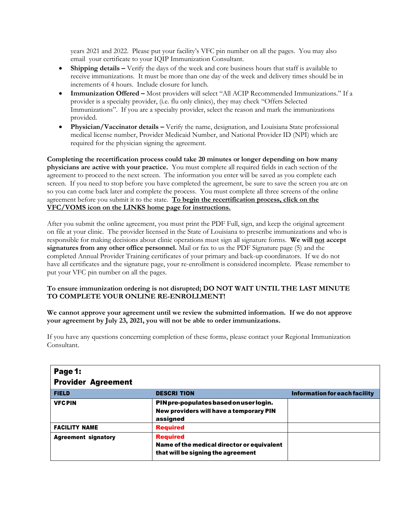years 2021 and 2022. Please put your facility's VFC pin number on all the pages. You may also email your certificate to your IQIP Immunization Consultant.

- **Shipping details –** Verify the days of the week and core business hours that staff is available to receive immunizations. It must be more than one day of the week and delivery times should be in increments of 4 hours. Include closure for lunch.
- **Immunization Offered –** Most providers will select "All ACIP Recommended Immunizations." If a provider is a specialty provider, (i.e. flu only clinics), they may check "Offers Selected Immunizations". If you are a specialty provider, select the reason and mark the immunizations provided.
- **Physician/Vaccinator details –** Verify the name, designation, and Louisiana State professional medical license number, Provider Medicaid Number, and National Provider ID (NPI) which are required for the physician signing the agreement.

**Completing the recertification process could take 20 minutes or longer depending on how many physicians are active with your practice.** You must complete all required fields in each section of the agreement to proceed to the next screen. The information you enter will be saved as you complete each screen. If you need to stop before you have completed the agreement, be sure to save the screen you are on so you can come back later and complete the process. You must complete all three screens of the online agreement before you submit it to the state. **To begin the recertification process, click on the VFC/VOMS icon on the LINKS home page for instructions.**

After you submit the online agreement, you must print the PDF Full, sign, and keep the original agreement on file at your clinic. The provider licensed in the State of Louisiana to prescribe immunizations and who is responsible for making decisions about clinic operations must sign all signature forms. **We will not accept signatures from any other office personnel.** Mail or fax to us the PDF Signature page (5) and the completed Annual Provider Training certificates of your primary and back-up coordinators. If we do not have all certificates and the signature page, your re-enrollment is considered incomplete. Please remember to put your VFC pin number on all the pages.

### **To ensure immunization ordering is not disrupted; DO NOT WAIT UNTIL THE LAST MINUTE TO COMPLETE YOUR ONLINE RE-ENROLLMENT!**

**We cannot approve your agreement until we review the submitted information. If we do not approve your agreement by July 23, 2021, you will not be able to order immunizations.**

If you have any questions concerning completion of these forms, please contact your Regional Immunization Consultant.

| Page 1:<br><b>Provider Agreement</b> |                                                                                                     |                               |
|--------------------------------------|-----------------------------------------------------------------------------------------------------|-------------------------------|
| <b>FIELD</b>                         | <b>DESCRI TION</b>                                                                                  | Information for each facility |
| <b>VFC PIN</b>                       | PIN pre-populates based on user login.<br>New providers will have a temporary PIN<br>assigned       |                               |
| <b>FACILITY NAME</b>                 | <b>Required</b>                                                                                     |                               |
| <b>Agreement signatory</b>           | <b>Required</b><br>Name of the medical director or equivalent<br>that will be signing the agreement |                               |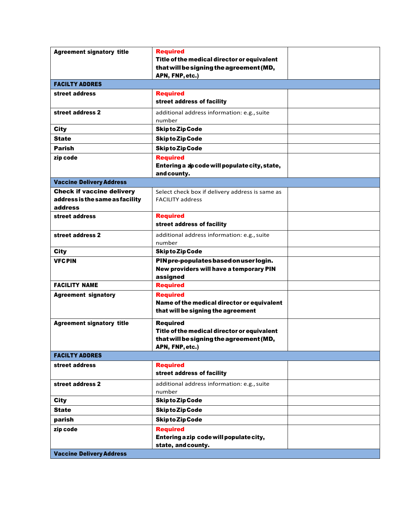| <b>Agreement signatory title</b>                                               | <b>Required</b><br>Title of the medical director or equivalent<br>that will be signing the agreement (MD,<br>APN, FNP, etc.) |  |
|--------------------------------------------------------------------------------|------------------------------------------------------------------------------------------------------------------------------|--|
| <b>FACILTY ADDRES</b>                                                          |                                                                                                                              |  |
| street address                                                                 | <b>Required</b><br>street address of facility                                                                                |  |
| street address 2                                                               | additional address information: e.g., suite<br>number                                                                        |  |
| <b>City</b>                                                                    | <b>Skipto Zip Code</b>                                                                                                       |  |
| <b>State</b>                                                                   | <b>Skipto Zip Code</b>                                                                                                       |  |
| <b>Parish</b>                                                                  | <b>Skipto Zip Code</b>                                                                                                       |  |
| zip code                                                                       | <b>Required</b><br>Entering a zp code will populate city, state,<br>and county.                                              |  |
| <b>Vaccine Delivery Address</b>                                                |                                                                                                                              |  |
| <b>Check if vaccine delivery</b><br>address is the same as facility<br>address | Select check box if delivery address is same as<br><b>FACILITY address</b>                                                   |  |
| street address                                                                 | <b>Required</b><br>street address of facility                                                                                |  |
| street address 2                                                               | additional address information: e.g., suite<br>number                                                                        |  |
| City                                                                           | <b>Skipto Zip Code</b>                                                                                                       |  |
| <b>VFC PIN</b>                                                                 | PIN pre-populates based on user login.<br>New providers will have a temporary PIN<br>assigned                                |  |
| <b>FACILITY NAME</b>                                                           | <b>Required</b>                                                                                                              |  |
| <b>Agreement signatory</b>                                                     | <b>Required</b><br>Name of the medical director or equivalent<br>that will be signing the agreement                          |  |
| <b>Agreement signatory title</b>                                               | <b>Required</b><br>Title of the medical director or equivalent<br>that will be signing the agreement (MD,<br>APN, FNP, etc.) |  |
| <b>FACILTY ADDRES</b>                                                          |                                                                                                                              |  |
| street address                                                                 | <b>Required</b><br>street address of facility                                                                                |  |
| street address 2                                                               | additional address information: e.g., suite<br>number                                                                        |  |
| <b>City</b>                                                                    | <b>Skipto Zip Code</b>                                                                                                       |  |
| <b>State</b>                                                                   | <b>Skipto Zip Code</b>                                                                                                       |  |
| parish                                                                         | <b>Skipto Zip Code</b>                                                                                                       |  |
| zip code                                                                       | <b>Required</b><br>Entering a zip code will populate city,<br>state, and county.                                             |  |
| <b>Vaccine Delivery Address</b>                                                |                                                                                                                              |  |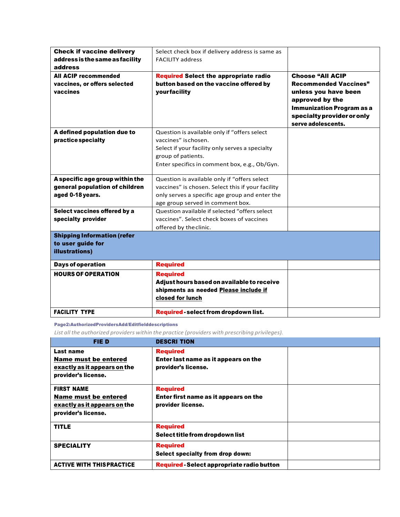| <b>Check if vaccine delivery</b><br>address is the same as facility<br>address        | Select check box if delivery address is same as<br><b>FACILITY address</b>                                                                                                                    |                                                                                                                                                                                            |
|---------------------------------------------------------------------------------------|-----------------------------------------------------------------------------------------------------------------------------------------------------------------------------------------------|--------------------------------------------------------------------------------------------------------------------------------------------------------------------------------------------|
| <b>All ACIP recommended</b><br>vaccines, or offers selected<br>vaccines               | <b>Required Select the appropriate radio</b><br>button based on the vaccine offered by<br>yourfacility                                                                                        | <b>Choose "All ACIP</b><br><b>Recommended Vaccines"</b><br>unless you have been<br>approved by the<br><b>Immunization Program as a</b><br>specialty provider or only<br>serve adolescents. |
| A defined population due to<br>practice specialty                                     | Question is available only if "offers select<br>vaccines" ischosen.<br>Select if your facility only serves a specialty<br>group of patients.<br>Enter specifics in comment box, e.g., Ob/Gyn. |                                                                                                                                                                                            |
| A specific age group within the<br>general population of children<br>aged 0-18 years. | Question is available only if "offers select<br>vaccines" is chosen. Select this if your facility<br>only serves a specific age group and enter the<br>age group served in comment box.       |                                                                                                                                                                                            |
| Select vaccines offered by a<br>specialty provider                                    | Question available if selected "offers select<br>vaccines". Select check boxes of vaccines<br>offered by the clinic.                                                                          |                                                                                                                                                                                            |
| <b>Shipping Information (refer</b><br>to user guide for<br>illustrations)             |                                                                                                                                                                                               |                                                                                                                                                                                            |
| <b>Days of operation</b>                                                              | <b>Required</b>                                                                                                                                                                               |                                                                                                                                                                                            |
| <b>HOURS OF OPERATION</b>                                                             | <b>Required</b><br>Adjust hours based on available to receive<br>shipments as needed Please include if<br>closed for lunch                                                                    |                                                                                                                                                                                            |
| <b>FACILITY TYPE</b>                                                                  | Required - select from dropdown list.                                                                                                                                                         |                                                                                                                                                                                            |

#### Page2:AuthorizedProvidersAdd/Editfielddescriptions

*List all the authorized providers within the practice (providers with prescribing privileges).*

| <b>FIED</b>                                                                                             | <b>DESCRI TION</b>                                                             |  |
|---------------------------------------------------------------------------------------------------------|--------------------------------------------------------------------------------|--|
| Last name<br><b>Name must be entered</b><br>exactly as it appears on the<br>provider's license.         | <b>Required</b><br>Enter last name as it appears on the<br>provider's license. |  |
| <b>FIRST NAME</b><br><b>Name must be entered</b><br>exactly as it appears on the<br>provider's license. | <b>Required</b><br>Enter first name as it appears on the<br>provider license.  |  |
| <b>TITLE</b>                                                                                            | <b>Required</b><br>Select title from dropdown list                             |  |
| <b>SPECIALITY</b>                                                                                       | <b>Required</b><br>Select specialty from drop down:                            |  |
| <b>ACTIVE WITH THISPRACTICE</b>                                                                         | <b>Required - Select appropriate radio button</b>                              |  |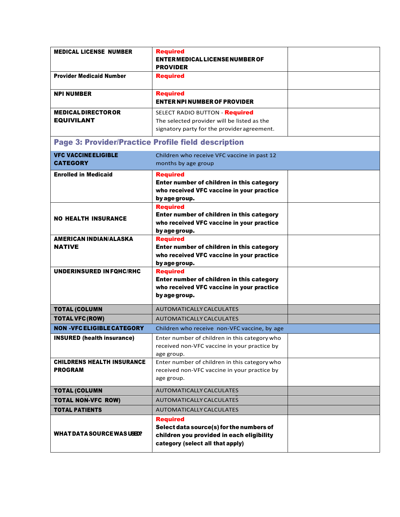| <b>MEDICAL LICENSE NUMBER</b>                              | <b>Required</b><br>ENTER MEDICAL LICENSE NUMBER OF<br><b>PROVIDER</b>                                                                        |  |
|------------------------------------------------------------|----------------------------------------------------------------------------------------------------------------------------------------------|--|
| <b>Provider Medicaid Number</b>                            | <b>Required</b>                                                                                                                              |  |
| <b>NPI NUMBER</b>                                          | <b>Required</b><br><b>ENTER NPI NUMBER OF PROVIDER</b>                                                                                       |  |
| <b>MEDICAL DIRECTOR OR</b><br><b>EQUIVILANT</b>            | SELECT RADIO BUTTON - Required<br>The selected provider will be listed as the<br>signatory party for the provider agreement.                 |  |
| <b>Page 3: Provider/Practice Profile field description</b> |                                                                                                                                              |  |
| <b>VFC VACCINE ELIGIBLE</b><br><b>CATEGORY</b>             | Children who receive VFC vaccine in past 12<br>months by age group                                                                           |  |
| <b>Enrolled in Medicaid</b>                                | <b>Required</b><br>Enter number of children in this category<br>who received VFC vaccine in your practice<br>by age group.                   |  |
| <b>NO HEALTH INSURANCE</b>                                 | <b>Required</b><br>Enter number of children in this category<br>who received VFC vaccine in your practice<br>by age group.                   |  |
| <b>AMERICAN INDIAN/ALASKA</b><br><b>NATIVE</b>             | <b>Required</b><br>Enter number of children in this category<br>who received VFC vaccine in your practice<br>by age group.                   |  |
| <b>UNDERINSURED IN FOHC/RHC</b>                            | <b>Required</b><br>Enter number of children in this category<br>who received VFC vaccine in your practice<br>by age group.                   |  |
| <b>TOTAL (COLUMN</b>                                       | AUTOMATICALLY CALCULATES                                                                                                                     |  |
| <b>TOTAL VFC (ROW)</b>                                     | AUTOMATICALLY CALCULATES                                                                                                                     |  |
| <b>NON -VFC ELIGIBLE CATEGORY</b>                          | Children who receive non-VFC vaccine, by age                                                                                                 |  |
| <b>INSURED</b> (health insurance)                          | Enter number of children in this category who<br>received non-VFC vaccine in your practice by<br>age group.                                  |  |
| <b>CHILDRENS HEALTH INSURANCE</b><br><b>PROGRAM</b>        | Enter number of children in this category who<br>received non-VFC vaccine in your practice by<br>age group.                                  |  |
| <b>TOTAL (COLUMN</b>                                       | AUTOMATICALLY CALCULATES                                                                                                                     |  |
| <b>TOTAL NON-VFC ROW)</b>                                  | AUTOMATICALLY CALCULATES                                                                                                                     |  |
| <b>TOTAL PATIENTS</b>                                      | <b>AUTOMATICALLY CALCULATES</b>                                                                                                              |  |
| WHAT DATA SOURCE WAS USED?                                 | <b>Required</b><br>Select data source(s) for the numbers of<br>children you provided in each eligibility<br>category (select all that apply) |  |